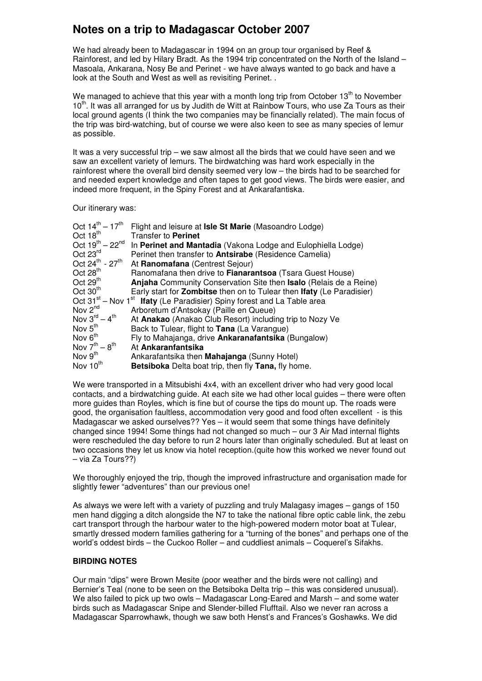# **Notes on a trip to Madagascar October 2007**

We had already been to Madagascar in 1994 on an group tour organised by Reef & Rainforest, and led by Hilary Bradt. As the 1994 trip concentrated on the North of the Island – Masoala, Ankarana, Nosy Be and Perinet - we have always wanted to go back and have a look at the South and West as well as revisiting Perinet. .

We managed to achieve that this year with a month long trip from October  $13<sup>th</sup>$  to November 10<sup>th</sup>. It was all arranged for us by Judith de Witt at Rainbow Tours, who use Za Tours as their local ground agents (I think the two companies may be financially related). The main focus of the trip was bird-watching, but of course we were also keen to see as many species of lemur as possible.

It was a very successful trip – we saw almost all the birds that we could have seen and we saw an excellent variety of lemurs. The birdwatching was hard work especially in the rainforest where the overall bird density seemed very low – the birds had to be searched for and needed expert knowledge and often tapes to get good views. The birds were easier, and indeed more frequent, in the Spiny Forest and at Ankarafantiska.

Our itinerary was:

| Oct $14^{th} - 17^{th}$             | Flight and leisure at Isle St Marie (Masoandro Lodge)                                           |
|-------------------------------------|-------------------------------------------------------------------------------------------------|
| Oct $18^{\text{th}}$                | Transfer to Perinet                                                                             |
| Oct $19^{th} - 22^{nd}$             | In Perinet and Mantadia (Vakona Lodge and Eulophiella Lodge)                                    |
| Oct 23rd                            | Perinet then transfer to <b>Antsirabe</b> (Residence Camelia)                                   |
| Oct $24^{th}$ - $27^{th}$           | At Ranomafana (Centrest Sejour)                                                                 |
| Oct $28th$                          | Ranomafana then drive to Fianarantsoa (Tsara Guest House)                                       |
| Oct $29th$                          | Anjaha Community Conservation Site then Isalo (Relais de a Reine)                               |
| Oct $30th$                          | Early start for <b>Zombitse</b> then on to Tulear then Ifaty (Le Paradisier)                    |
|                                     | Oct 31 <sup>st</sup> – Nov 1 <sup>st</sup> Ifaty (Le Paradisier) Spiny forest and La Table area |
| Nov $2^{nd}$                        | Arboretum d'Antsokay (Paille en Queue)                                                          |
| Nov $3^{\text{rd}} - 4^{\text{th}}$ | At Anakao (Anakao Club Resort) including trip to Nozy Ve                                        |
| Nov $5th$                           | Back to Tulear, flight to Tana (La Varangue)                                                    |
| Nov $6th$                           | Fly to Mahajanga, drive <b>Ankaranafantsika</b> (Bungalow)                                      |
| Nov $7^{th} - 8^{th}$               | At Ankaranfantsika                                                                              |
| Nov $9th$                           | Ankarafantsika then <b>Mahajanga</b> (Sunny Hotel)                                              |
| Nov 10 <sup>th</sup>                | <b>Betsiboka</b> Delta boat trip, then fly Tana, fly home.                                      |

We were transported in a Mitsubishi 4x4, with an excellent driver who had very good local contacts, and a birdwatching guide. At each site we had other local guides – there were often more guides than Royles, which is fine but of course the tips do mount up. The roads were good, the organisation faultless, accommodation very good and food often excellent - is this Madagascar we asked ourselves?? Yes – it would seem that some things have definitely changed since 1994! Some things had not changed so much – our 3 Air Mad internal flights were rescheduled the day before to run 2 hours later than originally scheduled. But at least on two occasions they let us know via hotel reception.(quite how this worked we never found out – via Za Tours??)

We thoroughly enjoyed the trip, though the improved infrastructure and organisation made for slightly fewer "adventures" than our previous one!

As always we were left with a variety of puzzling and truly Malagasy images – gangs of 150 men hand digging a ditch alongside the N7 to take the national fibre optic cable link, the zebu cart transport through the harbour water to the high-powered modern motor boat at Tulear, smartly dressed modern families gathering for a "turning of the bones" and perhaps one of the world's oddest birds – the Cuckoo Roller – and cuddliest animals – Coquerel's Sifakhs.

## **BIRDING NOTES**

Our main "dips" were Brown Mesite (poor weather and the birds were not calling) and Bernier's Teal (none to be seen on the Betsiboka Delta trip – this was considered unusual). We also failed to pick up two owls – Madagascar Long-Eared and Marsh – and some water birds such as Madagascar Snipe and Slender-billed Flufftail. Also we never ran across a Madagascar Sparrowhawk, though we saw both Henst's and Frances's Goshawks. We did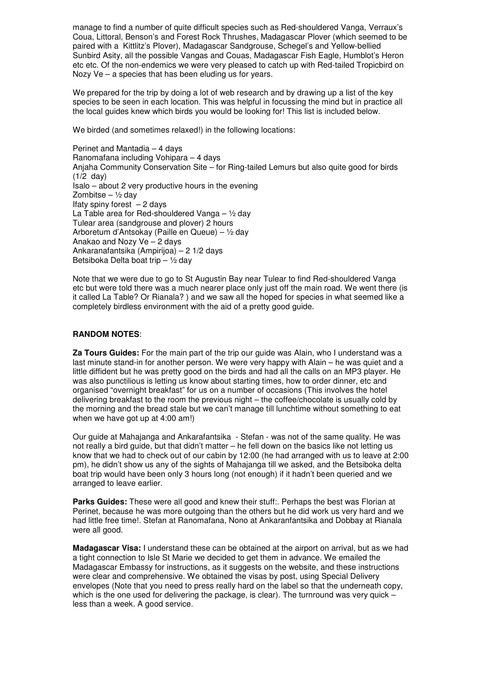manage to find a number of quite difficult species such as Red-shouldered Vanga, Verraux's Coua, Littoral, Benson's and Forest Rock Thrushes, Madagascar Plover (which seemed to be paired with a Kittlitz's Plover), Madagascar Sandgrouse, Schegel's and Yellow-bellied Sunbird Asity, all the possible Vangas and Couas, Madagascar Fish Eagle, Humblot's Heron etc etc. Of the non-endemics we were very pleased to catch up with Red-tailed Tropicbird on Nozy Ve – a species that has been eluding us for years.

We prepared for the trip by doing a lot of web research and by drawing up a list of the key species to be seen in each location. This was helpful in focussing the mind but in practice all the local guides knew which birds you would be looking for! This list is included below.

We birded (and sometimes relaxed!) in the following locations:

Perinet and Mantadia – 4 days Ranomafana including Vohipara – 4 days Anjaha Community Conservation Site – for Ring-tailed Lemurs but also quite good for birds (1/2 day) Isalo – about 2 very productive hours in the evening Zombitse –  $\frac{1}{2}$  day Ifaty spiny forest – 2 days La Table area for Red-shouldered Vanga  $-$  1/2 day Tulear area (sandgrouse and plover) 2 hours Arboretum d'Antsokay (Paille en Queue) – ½ day Anakao and Nozy Ve – 2 days Ankaranafantsika (Ampirijoa) – 2 1/2 days Betsiboka Delta boat trip –  $\frac{1}{2}$  day

Note that we were due to go to St Augustin Bay near Tulear to find Red-shouldered Vanga etc but were told there was a much nearer place only just off the main road. We went there (is it called La Table? Or Rianala? ) and we saw all the hoped for species in what seemed like a completely birdless environment with the aid of a pretty good guide.

## **RANDOM NOTES**:

**Za Tours Guides:** For the main part of the trip our guide was Alain, who I understand was a last minute stand-in for another person. We were very happy with Alain – he was quiet and a little diffident but he was pretty good on the birds and had all the calls on an MP3 player. He was also punctilious is letting us know about starting times, how to order dinner, etc and organised "overnight breakfast" for us on a number of occasions (This involves the hotel delivering breakfast to the room the previous night – the coffee/chocolate is usually cold by the morning and the bread stale but we can't manage till lunchtime without something to eat when we have got up at 4:00 am!)

Our guide at Mahajanga and Ankarafantsika - Stefan - was not of the same quality. He was not really a bird guide, but that didn't matter – he fell down on the basics like not letting us know that we had to check out of our cabin by 12:00 (he had arranged with us to leave at 2:00 pm), he didn't show us any of the sights of Mahajanga till we asked, and the Betsiboka delta boat trip would have been only 3 hours long (not enough) if it hadn't been queried and we arranged to leave earlier.

**Parks Guides:** These were all good and knew their stuff:. Perhaps the best was Florian at Perinet, because he was more outgoing than the others but he did work us very hard and we had little free time!. Stefan at Ranomafana, Nono at Ankaranfantsika and Dobbay at Rianala were all good.

**Madagascar Visa:** I understand these can be obtained at the airport on arrival, but as we had a tight connection to Isle St Marie we decided to get them in advance. We emailed the Madagascar Embassy for instructions, as it suggests on the website, and these instructions were clear and comprehensive. We obtained the visas by post, using Special Delivery envelopes (Note that you need to press really hard on the label so that the underneath copy, which is the one used for delivering the package, is clear). The turnround was very quick  $$ less than a week. A good service.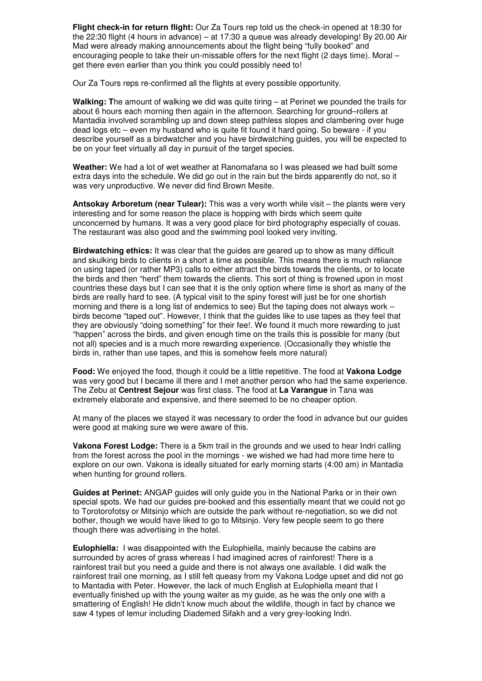**Flight check-in for return flight:** Our Za Tours rep told us the check-in opened at 18:30 for the 22:30 flight (4 hours in advance) – at 17:30 a queue was already developing! By 20.00 Air Mad were already making announcements about the flight being "fully booked" and encouraging people to take their un-missable offers for the next flight (2 days time). Moral – get there even earlier than you think you could possibly need to!

Our Za Tours reps re-confirmed all the flights at every possible opportunity.

**Walking: T**he amount of walking we did was quite tiring – at Perinet we pounded the trails for about 6 hours each morning then again in the afternoon. Searching for ground–rollers at Mantadia involved scrambling up and down steep pathless slopes and clambering over huge dead logs etc – even my husband who is quite fit found it hard going. So beware - if you describe yourself as a birdwatcher and you have birdwatching guides, you will be expected to be on your feet virtually all day in pursuit of the target species.

**Weather:** We had a lot of wet weather at Ranomafana so I was pleased we had built some extra days into the schedule. We did go out in the rain but the birds apparently do not, so it was very unproductive. We never did find Brown Mesite.

**Antsokay Arboretum (near Tulear):** This was a very worth while visit – the plants were very interesting and for some reason the place is hopping with birds which seem quite unconcerned by humans. It was a very good place for bird photography especially of couas. The restaurant was also good and the swimming pool looked very inviting.

**Birdwatching ethics:** It was clear that the guides are geared up to show as many difficult and skulking birds to clients in a short a time as possible. This means there is much reliance on using taped (or rather MP3) calls to either attract the birds towards the clients, or to locate the birds and then "herd" them towards the clients. This sort of thing is frowned upon in most countries these days but I can see that it is the only option where time is short as many of the birds are really hard to see. (A typical visit to the spiny forest will just be for one shortish morning and there is a long list of endemics to see) But the taping does not always work – birds become "taped out". However, I think that the guides like to use tapes as they feel that they are obviously "doing something" for their fee!. We found it much more rewarding to just "happen" across the birds, and given enough time on the trails this is possible for many (but not all) species and is a much more rewarding experience. (Occasionally they whistle the birds in, rather than use tapes, and this is somehow feels more natural)

**Food:** We enjoyed the food, though it could be a little repetitive. The food at **Vakona Lodge** was very good but I became ill there and I met another person who had the same experience. The Zebu at **Centrest Sejour** was first class. The food at **La Varangue** in Tana was extremely elaborate and expensive, and there seemed to be no cheaper option.

At many of the places we stayed it was necessary to order the food in advance but our guides were good at making sure we were aware of this.

**Vakona Forest Lodge:** There is a 5km trail in the grounds and we used to hear Indri calling from the forest across the pool in the mornings - we wished we had had more time here to explore on our own. Vakona is ideally situated for early morning starts (4:00 am) in Mantadia when hunting for ground rollers.

**Guides at Perinet:** ANGAP guides will only guide you in the National Parks or in their own special spots. We had our guides pre-booked and this essentially meant that we could not go to Torotorofotsy or Mitsinjo which are outside the park without re-negotiation, so we did not bother, though we would have liked to go to Mitsinjo. Very few people seem to go there though there was advertising in the hotel.

**Eulophiella:** I was disappointed with the Eulophiella, mainly because the cabins are surrounded by acres of grass whereas I had imagined acres of rainforest! There is a rainforest trail but you need a guide and there is not always one available. I did walk the rainforest trail one morning, as I still felt queasy from my Vakona Lodge upset and did not go to Mantadia with Peter. However, the lack of much English at Eulophiella meant that I eventually finished up with the young waiter as my guide, as he was the only one with a smattering of English! He didn't know much about the wildlife, though in fact by chance we saw 4 types of lemur including Diademed Sifakh and a very grey-looking Indri.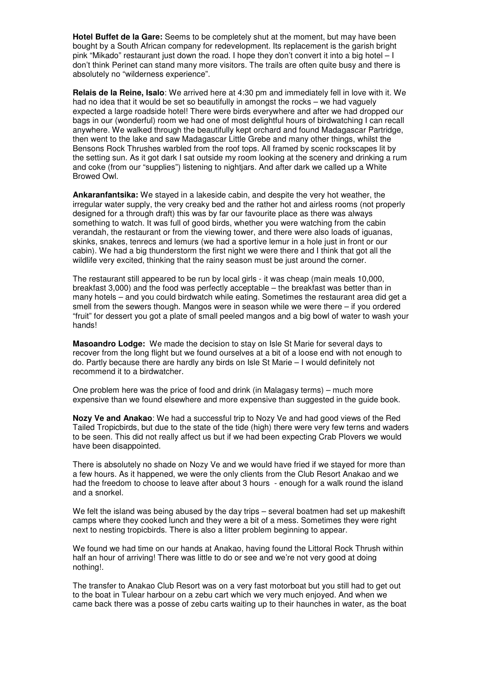**Hotel Buffet de la Gare:** Seems to be completely shut at the moment, but may have been bought by a South African company for redevelopment. Its replacement is the garish bright pink "Mikado" restaurant just down the road. I hope they don't convert it into a big hotel – I don't think Perinet can stand many more visitors. The trails are often quite busy and there is absolutely no "wilderness experience".

**Relais de la Reine, Isalo**: We arrived here at 4:30 pm and immediately fell in love with it. We had no idea that it would be set so beautifully in amongst the rocks – we had vaguely expected a large roadside hotel! There were birds everywhere and after we had dropped our bags in our (wonderful) room we had one of most delightful hours of birdwatching I can recall anywhere. We walked through the beautifully kept orchard and found Madagascar Partridge, then went to the lake and saw Madagascar Little Grebe and many other things, whilst the Bensons Rock Thrushes warbled from the roof tops. All framed by scenic rockscapes lit by the setting sun. As it got dark I sat outside my room looking at the scenery and drinking a rum and coke (from our "supplies") listening to nightjars. And after dark we called up a White Browed Owl.

**Ankaranfantsika:** We stayed in a lakeside cabin, and despite the very hot weather, the irregular water supply, the very creaky bed and the rather hot and airless rooms (not properly designed for a through draft) this was by far our favourite place as there was always something to watch. It was full of good birds, whether you were watching from the cabin verandah, the restaurant or from the viewing tower, and there were also loads of iguanas, skinks, snakes, tenrecs and lemurs (we had a sportive lemur in a hole just in front or our cabin). We had a big thunderstorm the first night we were there and I think that got all the wildlife very excited, thinking that the rainy season must be just around the corner.

The restaurant still appeared to be run by local girls - it was cheap (main meals 10,000, breakfast 3,000) and the food was perfectly acceptable – the breakfast was better than in many hotels – and you could birdwatch while eating. Sometimes the restaurant area did get a smell from the sewers though. Mangos were in season while we were there – if you ordered "fruit" for dessert you got a plate of small peeled mangos and a big bowl of water to wash your hands!

**Masoandro Lodge:** We made the decision to stay on Isle St Marie for several days to recover from the long flight but we found ourselves at a bit of a loose end with not enough to do. Partly because there are hardly any birds on Isle St Marie – I would definitely not recommend it to a birdwatcher.

One problem here was the price of food and drink (in Malagasy terms) – much more expensive than we found elsewhere and more expensive than suggested in the guide book.

**Nozy Ve and Anakao**: We had a successful trip to Nozy Ve and had good views of the Red Tailed Tropicbirds, but due to the state of the tide (high) there were very few terns and waders to be seen. This did not really affect us but if we had been expecting Crab Plovers we would have been disappointed.

There is absolutely no shade on Nozy Ve and we would have fried if we stayed for more than a few hours. As it happened, we were the only clients from the Club Resort Anakao and we had the freedom to choose to leave after about 3 hours - enough for a walk round the island and a snorkel.

We felt the island was being abused by the day trips – several boatmen had set up makeshift camps where they cooked lunch and they were a bit of a mess. Sometimes they were right next to nesting tropicbirds. There is also a litter problem beginning to appear.

We found we had time on our hands at Anakao, having found the Littoral Rock Thrush within half an hour of arriving! There was little to do or see and we're not very good at doing nothing!.

The transfer to Anakao Club Resort was on a very fast motorboat but you still had to get out to the boat in Tulear harbour on a zebu cart which we very much enjoyed. And when we came back there was a posse of zebu carts waiting up to their haunches in water, as the boat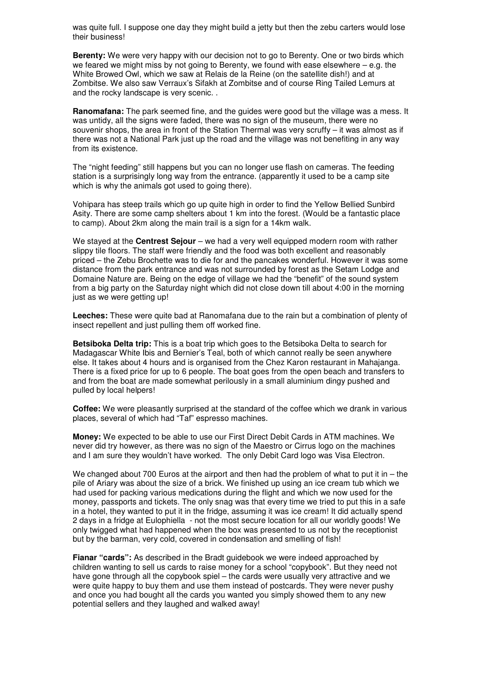was quite full. I suppose one day they might build a jetty but then the zebu carters would lose their business!

**Berenty:** We were very happy with our decision not to go to Berenty. One or two birds which we feared we might miss by not going to Berenty, we found with ease elsewhere  $-$  e.g. the White Browed Owl, which we saw at Relais de la Reine (on the satellite dish!) and at Zombitse. We also saw Verraux's Sifakh at Zombitse and of course Ring Tailed Lemurs at and the rocky landscape is very scenic. .

**Ranomafana:** The park seemed fine, and the guides were good but the village was a mess. It was untidy, all the signs were faded, there was no sign of the museum, there were no souvenir shops, the area in front of the Station Thermal was very scruffy – it was almost as if there was not a National Park just up the road and the village was not benefiting in any way from its existence.

The "night feeding" still happens but you can no longer use flash on cameras. The feeding station is a surprisingly long way from the entrance. (apparently it used to be a camp site which is why the animals got used to going there).

Vohipara has steep trails which go up quite high in order to find the Yellow Bellied Sunbird Asity. There are some camp shelters about 1 km into the forest. (Would be a fantastic place to camp). About 2km along the main trail is a sign for a 14km walk.

We stayed at the **Centrest Sejour** – we had a very well equipped modern room with rather slippy tile floors. The staff were friendly and the food was both excellent and reasonably priced – the Zebu Brochette was to die for and the pancakes wonderful. However it was some distance from the park entrance and was not surrounded by forest as the Setam Lodge and Domaine Nature are. Being on the edge of village we had the "benefit" of the sound system from a big party on the Saturday night which did not close down till about 4:00 in the morning just as we were getting up!

**Leeches:** These were quite bad at Ranomafana due to the rain but a combination of plenty of insect repellent and just pulling them off worked fine.

**Betsiboka Delta trip:** This is a boat trip which goes to the Betsiboka Delta to search for Madagascar White Ibis and Bernier's Teal, both of which cannot really be seen anywhere else. It takes about 4 hours and is organised from the Chez Karon restaurant in Mahajanga. There is a fixed price for up to 6 people. The boat goes from the open beach and transfers to and from the boat are made somewhat perilously in a small aluminium dingy pushed and pulled by local helpers!

**Coffee:** We were pleasantly surprised at the standard of the coffee which we drank in various places, several of which had "Taf" espresso machines.

**Money:** We expected to be able to use our First Direct Debit Cards in ATM machines. We never did try however, as there was no sign of the Maestro or Cirrus logo on the machines and I am sure they wouldn't have worked. The only Debit Card logo was Visa Electron.

We changed about 700 Euros at the airport and then had the problem of what to put it in  $-$  the pile of Ariary was about the size of a brick. We finished up using an ice cream tub which we had used for packing various medications during the flight and which we now used for the money, passports and tickets. The only snag was that every time we tried to put this in a safe in a hotel, they wanted to put it in the fridge, assuming it was ice cream! It did actually spend 2 days in a fridge at Eulophiella - not the most secure location for all our worldly goods! We only twigged what had happened when the box was presented to us not by the receptionist but by the barman, very cold, covered in condensation and smelling of fish!

**Fianar "cards":** As described in the Bradt guidebook we were indeed approached by children wanting to sell us cards to raise money for a school "copybook". But they need not have gone through all the copybook spiel – the cards were usually very attractive and we were quite happy to buy them and use them instead of postcards. They were never pushy and once you had bought all the cards you wanted you simply showed them to any new potential sellers and they laughed and walked away!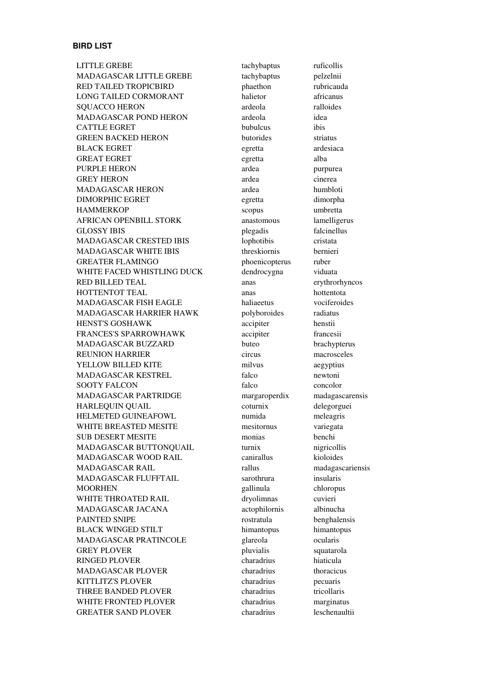#### **BIRD LIST**

LITTLE GREBE tachybaptus ruficollis MADAGASCAR LITTLE GREBE tachybaptus pelzelnii RED TAILED TROPICBIRD phaethon rubricauda LONG TAILED CORMORANT halietor africanus SOUACCO HERON ardeola ralloides MADAGASCAR POND HERON ardeola idea CATTLE EGRET bubulcus ibis GREEN BACKED HERON butorides striatus BLACK EGRET egretta ardesiaca GREAT EGRET egretta alba PURPLE HERON ardea purpurea GREY HERON ardea cinerea MADAGASCAR HERON ardea humbloti DIMORPHIC EGRET egretta dimorpha HAMMERKOP scopus umbretta AFRICAN OPENBILL STORK anastomous lamelligerus GLOSSY IBIS plegadis falcinellus MADAGASCAR CRESTED IBIS lophotibis cristata MADAGASCAR WHITE IBIS threskiornis bernieri GREATER FLAMINGO phoenicopterus ruber WHITE FACED WHISTLING DUCK dendrocygna viduata RED BILLED TEAL anas erythrorhyncos HOTTENTOT TEAL anas hottentota MADAGASCAR FISH EAGLE haliaeetus vociferoides MADAGASCAR HARRIER HAWK polyboroides radiatus HENST'S GOSHAWK accipiter henstii FRANCES'S SPARROWHAWK accipiter francesii MADAGASCAR BUZZARD buteo brachypterus REUNION HARRIER circus macrosceles YELLOW BILLED KITE milvus milvus aegyptius MADAGASCAR KESTREL falco newtoni SOOTY FALCON falco concolor MADAGASCAR PARTRIDGE margaroperdix madagascarensis HARLEQUIN QUAIL coturnix delegorguei HELMETED GUINEAFOWL numida meleagris WHITE BREASTED MESITE mesitornus variegata SUB DESERT MESITE monias benchi MADAGASCAR BUTTONQUAIL turnix nigricollis MADAGASCAR WOOD RAIL canirallus kioloides MADAGASCAR RAIL rallus madagascariensis MADAGASCAR FLUFFTAIL sarothrura insularis MOORHEN gallinula chloropus WHITE THROATED RAIL dryolimnas cuvieri MADAGASCAR JACANA actophilornis albinucha PAINTED SNIPE **rostratula** benghalensis BLACK WINGED STILT himantopus himantopus himantopus MADAGASCAR PRATINCOLE glareola ocularis GREY PLOVER pluvialis squatarola RINGED PLOVER charadrius hiaticula MADAGASCAR PLOVER charadrius thoracicus KITTLITZ'S PLOVER charadrius pecuaris THREE BANDED PLOVER charadrius tricollaris WHITE FRONTED PLOVER charadrius marginatus GREATER SAND PLOVER charadrius leschenaultii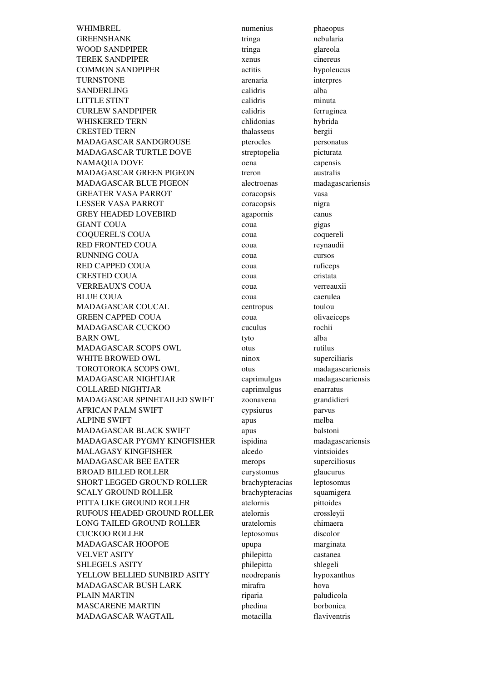WHIMBREL numerius phaeopus GREENSHANK tringa nebularia WOOD SANDPIPER tringa glareola TEREK SANDPIPER xenus cinereus COMMON SANDPIPER actitis hypoleucus TURNSTONE arenaria interpres SANDERLING calidris alba LITTLE STINT calidris minuta CURLEW SANDPIPER calidris ferruginea WHISKERED TERN chlidonias hybrida CRESTED TERN thalasseus bergii MADAGASCAR SANDGROUSE pterocles personatus MADAGASCAR TURTLE DOVE streptopelia picturata NAMAQUA DOVE oena capensis MADAGASCAR GREEN PIGEON treron australis MADAGASCAR BLUE PIGEON alectroenas madagascariensis GREATER VASA PARROT coracopsis vasa LESSER VASA PARROT coracopsis nigra GREY HEADED LOVEBIRD agapornis canus GIANT COUA coua expansion coust of the country of the country of the country of the country of the country of the country of the country of the country of the country of the country of the country of the country of the cou COQUEREL'S COUA coua coquereli RED FRONTED COUA coua reynaudii RUNNING COUA coua cursos RED CAPPED COUA coua ruficeps CRESTED COUA coua couse cristata VERREAUX'S COUA coua verreauxii BLUE COUA coua caerulea MADAGASCAR COUCAL centropus toulou GREEN CAPPED COUA coua couse contract obviolences MADAGASCAR CUCKOO cuculus rochii BARN OWL tyto alba MADAGASCAR SCOPS OWL otus rutilus WHITE BROWED OWL ninox superciliaris TOROTOROKA SCOPS OWL otus madagascariensis MADAGASCAR NIGHTJAR caprimulgus madagascariensis COLLARED NIGHTJAR caprimulgus enarratus MADAGASCAR SPINETAILED SWIFT zoonavena grandidieri AFRICAN PALM SWIFT cypsiurus parvus ALPINE SWIFT apus melba MADAGASCAR BLACK SWIFT apus balstoni MADAGASCAR PYGMY KINGFISHER ispidina madagascariensis MALAGASY KINGFISHER alcedo vintsioides MADAGASCAR BEE EATER merops superciliosus BROAD BILLED ROLLER eurystomus glaucurus SHORT LEGGED GROUND ROLLER brachypteracias leptosomus SCALY GROUND ROLLER brachypteracias squamigera PITTA LIKE GROUND ROLLER atelornis pittoides RUFOUS HEADED GROUND ROLLER atelornis crossleyii LONG TAILED GROUND ROLLER uratelornis chimaera CUCKOO ROLLER leptosomus discolor MADAGASCAR HOOPOE upupa marginata VELVET ASITY philepitta castanea SHLEGELS ASITY philepitta shlegeli YELLOW BELLIED SUNBIRD ASITY neodrepanis hypoxanthus MADAGASCAR BUSH LARK mirafra hova PLAIN MARTIN riparia paludicola MASCARENE MARTIN phedina borbonica MADAGASCAR WAGTAIL motacilla flaviventris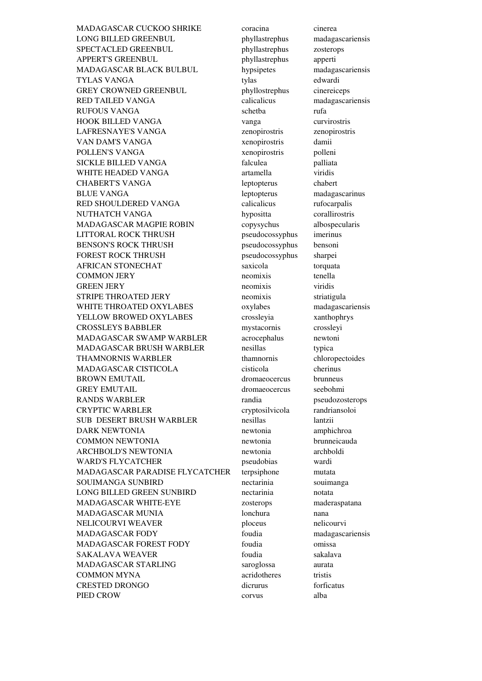MADAGASCAR CUCKOO SHRIKE coracina cinerea LONG BILLED GREENBUL phyllastrephus madagascariensis SPECTACLED GREENBUL phyllastrephus zosterops APPERT'S GREENBUL phyllastrephus apperti MADAGASCAR BLACK BULBUL hypsipetes madagascariensis TYLAS VANGA tylas tylas edwardi GREY CROWNED GREENBUL phyllostrephus cinereiceps RED TAILED VANGA calicalicus madagascariensis RUFOUS VANGA schetba rufa HOOK BILLED VANGA vanga curvirostris LAFRESNAYE'S VANGA zenopirostris zenopirostris VAN DAM'S VANGA xenopirostris damii POLLEN'S VANGA xenopirostris polleni SICKLE BILLED VANGA falculea palliata WHITE HEADED VANGA artamella viridis CHABERT'S VANGA leptopterus chabert BLUE VANGA leptopterus madagascarinus RED SHOULDERED VANGA calicalicus rufocarpalis NUTHATCH VANGA hypositta corallirostris MADAGASCAR MAGPIE ROBIN copysychus albospecularis LITTORAL ROCK THRUSH pseudocossyphus imerinus BENSON'S ROCK THRUSH pseudocossyphus bensoni FOREST ROCK THRUSH pseudocossyphus sharpei AFRICAN STONECHAT saxicola torquata COMMON JERY neomixis tenella GREEN JERY **neomixis** viridis STRIPE THROATED JERY neomixis striatigula WHITE THROATED OXYLABES oxylabes madagascariensis YELLOW BROWED OXYLABES crossleyia xanthophrys CROSSLEYS BABBLER mystacornis crossleyi MADAGASCAR SWAMP WARBLER acrocephalus newtoni MADAGASCAR BRUSH WARBLER nesillas typica THAMNORNIS WARBLER thamnornis chloropectoides MADAGASCAR CISTICOLA cisticola cherinus BROWN EMUTAIL dromaeocercus brunneus GREY EMUTAIL dromaeocercus seebohmi RANDS WARBLER randia pseudozosterops CRYPTIC WARBLER cryptosilvicola randriansoloi SUB DESERT BRUSH WARBLER nesillas lantzii DARK NEWTONIA newtonia amphichroa COMMON NEWTONIA newtonia brunneicauda ARCHBOLD'S NEWTONIA newtonia archboldi WARD'S FLYCATCHER pseudobias wardi MADAGASCAR PARADISE FLYCATCHER terpsiphone mutata SOUIMANGA SUNBIRD nectarinia souimanga LONG BILLED GREEN SUNBIRD nectarinia notata MADAGASCAR WHITE-EYE zosterops maderaspatana MADAGASCAR MUNIA lonchura nana NELICOURVI WEAVER ploceus ploceus nelicourvi MADAGASCAR FODY foudia madagascariensis MADAGASCAR FOREST FODY foudia omissa SAKALAVA WEAVER foudia sakalava MADAGASCAR STARLING saroglossa aurata COMMON MYNA acridotheres tristis CRESTED DRONGO dicrurus forficatus PIED CROW alba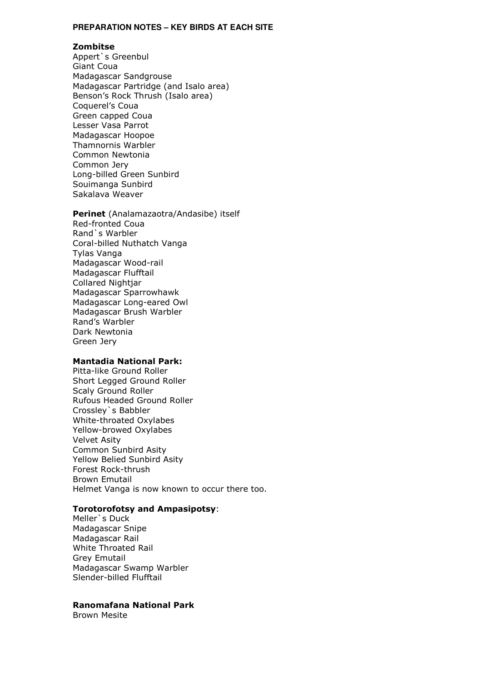#### **PREPARATION NOTES – KEY BIRDS AT EACH SITE**

#### Zombitse

Appert`s Greenbul Giant Coua Madagascar Sandgrouse Madagascar Partridge (and Isalo area) Benson's Rock Thrush (Isalo area) Coquerel's Coua Green capped Coua Lesser Vasa Parrot Madagascar Hoopoe Thamnornis Warbler Common Newtonia Common Jery Long-billed Green Sunbird Souimanga Sunbird Sakalava Weaver

## Perinet (Analamazaotra/Andasibe) itself Red-fronted Coua Rand`s Warbler Coral-billed Nuthatch Vanga

Tylas Vanga Madagascar Wood-rail Madagascar Flufftail Collared Nightjar Madagascar Sparrowhawk Madagascar Long-eared Owl Madagascar Brush Warbler Rand's Warbler Dark Newtonia Green Jery

### Mantadia National Park:

Pitta-like Ground Roller Short Legged Ground Roller Scaly Ground Roller Rufous Headed Ground Roller Crossley`s Babbler White-throated Oxylabes Yellow-browed Oxylabes Velvet Asity Common Sunbird Asity Yellow Belied Sunbird Asity Forest Rock-thrush Brown Emutail Helmet Vanga is now known to occur there too.

# Torotorofotsy and Ampasipotsy:

Meller`s Duck Madagascar Snipe Madagascar Rail White Throated Rail Grey Emutail Madagascar Swamp Warbler Slender-billed Flufftail

# Ranomafana National Park

Brown Mesite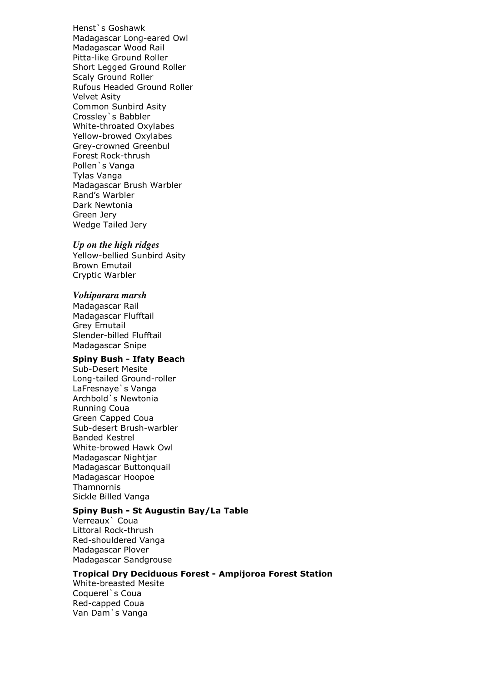Henst`s Goshawk Madagascar Long-eared Owl Madagascar Wood Rail Pitta-like Ground Roller Short Legged Ground Roller Scaly Ground Roller Rufous Headed Ground Roller Velvet Asity Common Sunbird Asity Crossley`s Babbler White-throated Oxylabes Yellow-browed Oxylabes Grey-crowned Greenbul Forest Rock-thrush Pollen`s Vanga Tylas Vanga Madagascar Brush Warbler Rand's Warbler Dark Newtonia Green Jery Wedge Tailed Jery

# *Up on the high ridges*

Yellow-bellied Sunbird Asity Brown Emutail Cryptic Warbler

#### *Vohiparara marsh*

Madagascar Rail Madagascar Flufftail Grey Emutail Slender-billed Flufftail Madagascar Snipe

# Spiny Bush - Ifaty Beach

Sub-Desert Mesite Long-tailed Ground-roller LaFresnaye`s Vanga Archbold`s Newtonia Running Coua Green Capped Coua Sub-desert Brush-warbler Banded Kestrel White-browed Hawk Owl Madagascar Nightjar Madagascar Buttonquail Madagascar Hoopoe Thamnornis Sickle Billed Vanga

# Spiny Bush - St Augustin Bay/La Table

Verreaux` Coua Littoral Rock-thrush Red-shouldered Vanga Madagascar Plover Madagascar Sandgrouse

# Tropical Dry Deciduous Forest - Ampijoroa Forest Station

White-breasted Mesite Coquerel`s Coua Red-capped Coua Van Dam`s Vanga